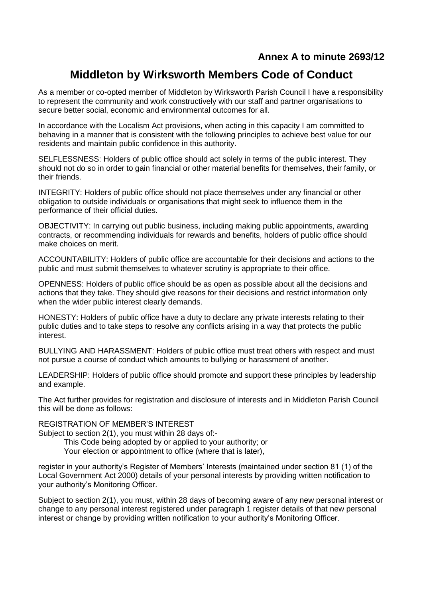## **Annex A to minute 2693/12**

## **Middleton by Wirksworth Members Code of Conduct**

As a member or co-opted member of Middleton by Wirksworth Parish Council I have a responsibility to represent the community and work constructively with our staff and partner organisations to secure better social, economic and environmental outcomes for all.

In accordance with the Localism Act provisions, when acting in this capacity I am committed to behaving in a manner that is consistent with the following principles to achieve best value for our residents and maintain public confidence in this authority.

SELFLESSNESS: Holders of public office should act solely in terms of the public interest. They should not do so in order to gain financial or other material benefits for themselves, their family, or their friends.

INTEGRITY: Holders of public office should not place themselves under any financial or other obligation to outside individuals or organisations that might seek to influence them in the performance of their official duties.

OBJECTIVITY: In carrying out public business, including making public appointments, awarding contracts, or recommending individuals for rewards and benefits, holders of public office should make choices on merit.

ACCOUNTABILITY: Holders of public office are accountable for their decisions and actions to the public and must submit themselves to whatever scrutiny is appropriate to their office.

OPENNESS: Holders of public office should be as open as possible about all the decisions and actions that they take. They should give reasons for their decisions and restrict information only when the wider public interest clearly demands.

HONESTY: Holders of public office have a duty to declare any private interests relating to their public duties and to take steps to resolve any conflicts arising in a way that protects the public interest.

BULLYING AND HARASSMENT: Holders of public office must treat others with respect and must not pursue a course of conduct which amounts to bullying or harassment of another.

LEADERSHIP: Holders of public office should promote and support these principles by leadership and example.

The Act further provides for registration and disclosure of interests and in Middleton Parish Council this will be done as follows:

REGISTRATION OF MEMBER'S INTEREST

Subject to section 2(1), you must within 28 days of:-

This Code being adopted by or applied to your authority; or

Your election or appointment to office (where that is later),

register in your authority's Register of Members' Interests (maintained under section 81 (1) of the Local Government Act 2000) details of your personal interests by providing written notification to your authority's Monitoring Officer.

Subject to section 2(1), you must, within 28 days of becoming aware of any new personal interest or change to any personal interest registered under paragraph 1 register details of that new personal interest or change by providing written notification to your authority's Monitoring Officer.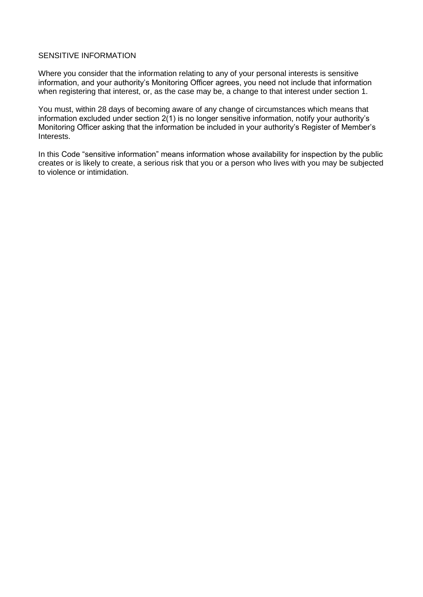## SENSITIVE INFORMATION

Where you consider that the information relating to any of your personal interests is sensitive information, and your authority's Monitoring Officer agrees, you need not include that information when registering that interest, or, as the case may be, a change to that interest under section 1.

You must, within 28 days of becoming aware of any change of circumstances which means that information excluded under section 2(1) is no longer sensitive information, notify your authority's Monitoring Officer asking that the information be included in your authority's Register of Member's Interests.

In this Code "sensitive information" means information whose availability for inspection by the public creates or is likely to create, a serious risk that you or a person who lives with you may be subjected to violence or intimidation.